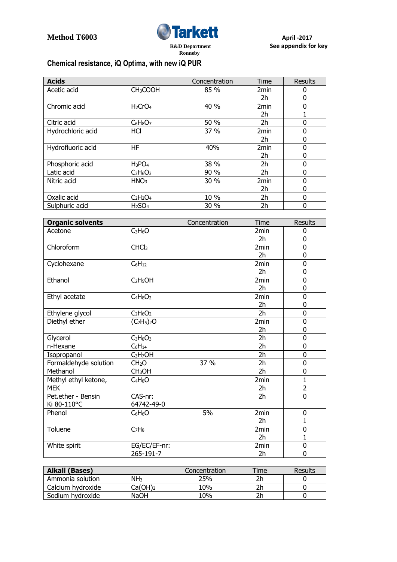

## **Chemical resistance, iQ Optima, with new iQ PUR**

| <b>Acids</b>      |                                 | Concentration | Time             | <b>Results</b> |
|-------------------|---------------------------------|---------------|------------------|----------------|
| Acetic acid       | CH <sub>3</sub> COOH            | 85 %          | 2 <sub>min</sub> | 0              |
|                   |                                 |               | 2h               | 0              |
| Chromic acid      | H <sub>2</sub> CrO <sub>4</sub> | 40 %          | 2 <sub>min</sub> | $\Omega$       |
|                   |                                 |               | 2h               |                |
| Citric acid       | $C_6H_8O_7$                     | 50 %          | 2h               | 0              |
| Hydrochloric acid | <b>HCI</b>                      | 37 %          | 2 <sub>min</sub> | 0              |
|                   |                                 |               | 2h               | 0              |
| Hydrofluoric acid | HF                              | 40%           | 2 <sub>min</sub> | 0              |
|                   |                                 |               | 2h               | 0              |
| Phosphoric acid   | $H_3PO_4$                       | 38 %          | 2h               | 0              |
| Latic acid        | $C_3H_6O_3$                     | 90 %          | 2h               | 0              |
| Nitric acid       | HNO <sub>3</sub>                | 30 %          | 2 <sub>min</sub> | 0              |
|                   |                                 |               | 2h               | 0              |
| Oxalic acid       | $C2H2O4$                        | 10 %          | 2h               | $\Omega$       |
| Sulphuric acid    | H <sub>2</sub> SO <sub>4</sub>  | 30 %          | 2h               | 0              |

| <b>Organic solvents</b> |                                  | Concentration | Time             | <b>Results</b> |
|-------------------------|----------------------------------|---------------|------------------|----------------|
| Acetone                 | $C_3H_6O$                        |               | 2 <sub>min</sub> | 0              |
|                         |                                  |               | 2h               | 0              |
| Chloroform              | CHCl <sub>3</sub>                |               | 2 <sub>min</sub> | 0              |
|                         |                                  |               | 2 <sub>h</sub>   | 0              |
| Cyclohexane             | $C_6H_{12}$                      |               | 2 <sub>min</sub> | 0              |
|                         |                                  |               | 2h               | 0              |
| Ethanol                 | C <sub>2</sub> H <sub>5</sub> OH |               | 2min             | 0              |
|                         |                                  |               | 2 <sub>h</sub>   | 0              |
| Ethyl acetate           | $C_4H_8O_2$                      |               | 2 <sub>min</sub> | 0              |
|                         |                                  |               | 2h               | 0              |
| Ethylene glycol         | $C_2H_6O_2$                      |               | 2h               | 0              |
| Diethyl ether           | $(C_2H_5)_2O$                    |               | 2min             | 0              |
|                         |                                  |               | 2 <sub>h</sub>   | 0              |
| Glycerol                | $C_3H_8O_3$                      |               | 2h               | 0              |
| n-Hexane                | $C_6H_{14}$                      |               | 2h               | 0              |
| Isopropanol             | C <sub>3</sub> H <sub>7</sub> OH |               | 2h               | 0              |
| Formaldehyde solution   | CH <sub>2</sub> O                | 37 %          | 2h               | 0              |
| Methanol                | CH <sub>3</sub> OH               |               | 2h               | 0              |
| Methyl ethyl ketone,    | $C_4H_8O$                        |               | 2min             | $\mathbf{1}$   |
| <b>MEK</b>              |                                  |               | 2h               | $\overline{2}$ |
| Pet.ether - Bensin      | CAS-nr:                          |               | 2 <sub>h</sub>   | 0              |
| Ki 80-110°C             | 64742-49-0                       |               |                  |                |
| Phenol                  | $C_6H_6O$                        | 5%            | 2min             | 0              |
|                         |                                  |               | 2 <sub>h</sub>   | 1              |
| Toluene                 | C <sub>7</sub> H <sub>8</sub>    |               | 2min             | 0              |
|                         |                                  |               | 2h               | 1              |
| White spirit            | EG/EC/EF-nr:                     |               | 2min             | 0              |
|                         | 265-191-7                        |               | 2h               | 0              |

| Alkali (Bases)    |                     | Concentration | Time | <b>Results</b> |
|-------------------|---------------------|---------------|------|----------------|
| Ammonia solution  | NH <sub>3</sub>     | 25%           |      |                |
| Calcium hydroxide | Ca(OH) <sub>2</sub> | 10%           |      |                |
| Sodium hydroxide  | NaOH                | .0%           |      |                |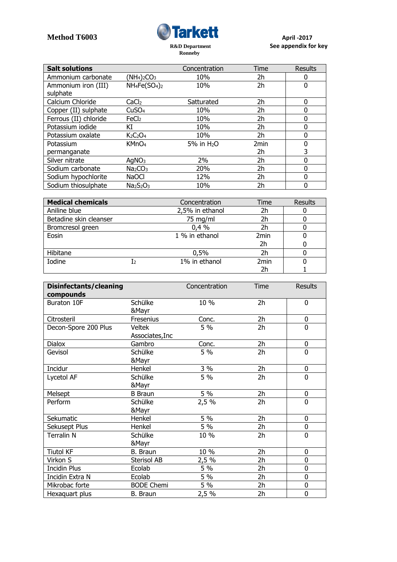

| <b>Salt solutions</b> |                                 | Concentration | Time | <b>Results</b> |
|-----------------------|---------------------------------|---------------|------|----------------|
| Ammonium carbonate    | $(NH4)2CO3$                     | 10%           | 2h   | 0              |
| Ammonium iron (III)   | $NH_4Fe(SO_4)_2$                | 10%           | 2h   | 0              |
| sulphate              |                                 |               |      |                |
| Calcium Chloride      | CaCl <sub>2</sub>               | Satturated    | 2h   | 0              |
| Copper (II) sulphate  | CuSO <sub>4</sub>               | 10%           | 2h   | 0              |
| Ferrous (II) chloride | FeCl <sub>2</sub>               | 10%           | 2h   | 0              |
| Potassium iodide      | ΚI                              | 10%           | 2h   | 0              |
| Potassium oxalate     | K <sub>2</sub> O <sub>4</sub>   | 10%           | 2h   | 0              |
| Potassium             | KMnO <sub>4</sub>               | 5% in $H_2O$  | 2min | 0              |
| permanganate          |                                 |               | 2h   | 3              |
| Silver nitrate        | AqNO <sub>3</sub>               | 2%            | 2h   | 0              |
| Sodium carbonate      | Na <sub>2</sub> CO <sub>3</sub> | 20%           | 2h   | 0              |
| Sodium hypochlorite   | <b>NaOCI</b>                    | 12%           | 2h   | 0              |
| Sodium thiosulphate   | $Na2S2O3$                       | 10%           | 2h   | 0              |

| <b>Medical chemicals</b> |    | Concentration   | Time             | Results |
|--------------------------|----|-----------------|------------------|---------|
| Aniline blue             |    | 2,5% in ethanol | 2h               |         |
| Betadine skin cleanser   |    | 75 mg/ml        | 2h               |         |
| Bromcresol green         |    | 0.4%            | 2h               |         |
| Eosin                    |    | 1 % in ethanol  | 2 <sub>min</sub> |         |
|                          |    |                 | 2h               |         |
| Hibitane                 |    | 0,5%            | 2h               |         |
| Iodine                   | Iэ | 1% in ethanol   | 2 <sub>min</sub> |         |
|                          |    |                 | 2h               |         |

| Disinfectants/cleaning   |                   | Concentration | Time           | <b>Results</b> |
|--------------------------|-------------------|---------------|----------------|----------------|
| compounds<br>Buraton 10F | Schülke           | 10 %          | 2h             | 0              |
|                          | &Mayr             |               |                |                |
| Citrosteril              | Fresenius         | Conc.         | 2h             | 0              |
| Decon-Spore 200 Plus     | <b>Veltek</b>     | 5 %           | 2h             | 0              |
|                          | Associates, Inc   |               |                |                |
| <b>Dialox</b>            | Gambro            | Conc.         | 2h             | 0              |
| Gevisol                  | Schülke           | 5 %           | 2 <sub>h</sub> | 0              |
|                          | &Mayr             |               |                |                |
| Incidur                  | Henkel            | 3 %           | 2h             | 0              |
| Lycetol AF               | Schülke           | 5 %           | 2h             | 0              |
|                          | &Mayr             |               |                |                |
| Melsept                  | <b>B</b> Braun    | 5 %           | 2 <sub>h</sub> | 0              |
| Perform                  | Schülke           | 2,5%          | 2h             | 0              |
|                          | &Mayr             |               |                |                |
| Sekumatic                | Henkel            | 5 %           | 2 <sub>h</sub> | 0              |
| Sekusept Plus            | Henkel            | 5 %           | 2h             | 0              |
| Terralin N               | Schülke           | 10 %          | 2h             | 0              |
|                          | &Mayr             |               |                |                |
| <b>Tiutol KF</b>         | B. Braun          | 10 %          | 2h             | 0              |
| Virkon S                 | Sterisol AB       | 2,5 %         | 2h             | 0              |
| <b>Incidin Plus</b>      | Ecolab            | 5 %           | 2h             | 0              |
| Incidin Extra N          | Ecolab            | 5 %           | 2h             | 0              |
| Mikrobac forte           | <b>BODE Chemi</b> | 5 %           | 2 <sub>h</sub> | 0              |
| Hexaguart plus           | <b>B.</b> Braun   | 2,5 %         | 2h             | 0              |